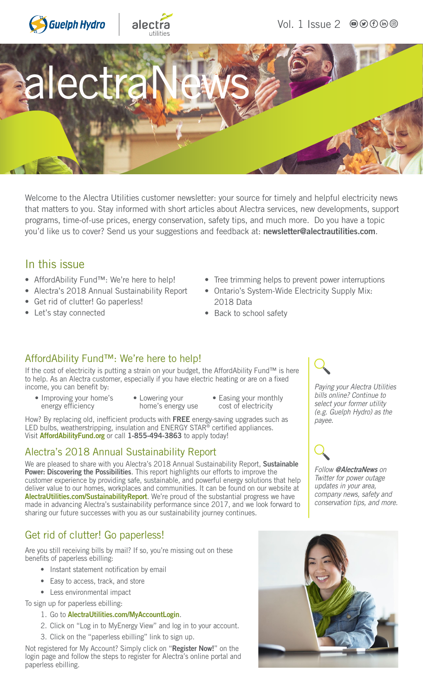



Vol. 1 Issue 2 ● ① ① ① ②



Welcome to the Alectra Utilities customer newsletter: your source for timely and helpful electricity news that matters to you. Stay informed with short articles about Alectra services, new developments, support programs, time-of-use prices, energy conservation, safety tips, and much more. Do you have a topic you'd like us to cover? Send us your suggestions and feedback at: [newsletter@alectrautilities.com](mailto:newsletter@alectrautilities.com).

#### In this issue

- AffordAbility Fund™: We're here to help!
- Alectra's 2018 Annual Sustainability Report
- Get rid of clutter! Go paperless!
- Let's stay connected
- Tree trimming helps to prevent power interruptions
- Ontario's System-Wide Electricity Supply Mix: 2018 Data
- Back to school safety

#### AffordAbility Fund™: We're here to help!

If the cost of electricity is putting a strain on your budget, the AffordAbility Fund™ is here to help. As an Alectra customer, especially if you have electric heating or are on a fixed income, you can benefit by:

- Improving your home's energy efficiency
- Lowering your home's energy use
- Easing your monthly cost of electricity

How? By replacing old, inefficient products with FREE energy-saving upgrades such as LED bulbs, weatherstripping, insulation and ENERGY STAR<sup>®</sup> certified appliances. Visit [AffordAbilityFund.org](http://AffordAbilityFund.org) or call 1-855-494-3863 to apply today!

#### Alectra's 2018 Annual Sustainability Report

We are pleased to share with you Alectra's 2018 Annual Sustainability Report, Sustainable Power: Discovering the Possibilities. This report highlights our efforts to improve the customer experience by providing safe, sustainable, and powerful energy solutions that help deliver value to our homes, workplaces and communities. It can be found on our website at [AlectraUtilities.com/SustainabilityReport](http://AlectraUtilities.com/SustainabilityReport). We're proud of the substantial progress we have made in advancing Alectra's sustainability performance since 2017, and we look forward to sharing our future successes with you as our sustainability journey continues.

### Get rid of clutter! Go paperless!

Are you still receiving bills by mail? If so, you're missing out on these benefits of paperless ebilling:

- Instant statement notification by email
- Easy to access, track, and store
- Less environmental impact

To sign up for paperless ebilling:

- 1. Go to [AlectraUtilities.com/MyAccountLogin](http://AlectraUtilities.com/MyAccountLogin).
- 2. Click on "Log in to MyEnergy View" and log in to your account.
- 3. Click on the "paperless ebilling" link to sign up.

Not registered for My Account? Simply click on "Register Now!" on the login page and follow the steps to register for Alectra's online portal and paperless ebilling.

*Paying your Alectra Utilities bills online? Continue to select your former utility (e.g. Guelph Hydro) as the payee.*



*Follow* [@AlectraNews](https://twitter.com/alectranews) *on Twitter for power outage updates in your area, company news, safety and conservation tips, and more.*